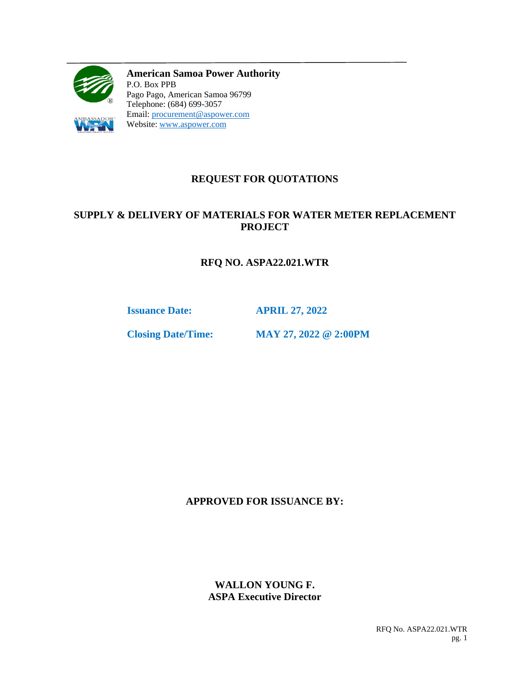

**American Samoa Power Authority** P.O. Box PPB Pago Pago, American Samoa 96799 Telephone: (684) 699-3057 Email: [procurement@aspower.com](mailto:procurement@aspower.com) Website: [www.aspower.com](http://www.aspower.com/)

# **REQUEST FOR QUOTATIONS**

# **SUPPLY & DELIVERY OF MATERIALS FOR WATER METER REPLACEMENT PROJECT**

# **RFQ NO. ASPA22.021.WTR**

**Issuance Date: APRIL 27, 2022**

**Closing Date/Time: MAY 27, 2022 @ 2:00PM**

### **APPROVED FOR ISSUANCE BY:**

### **WALLON YOUNG F. ASPA Executive Director**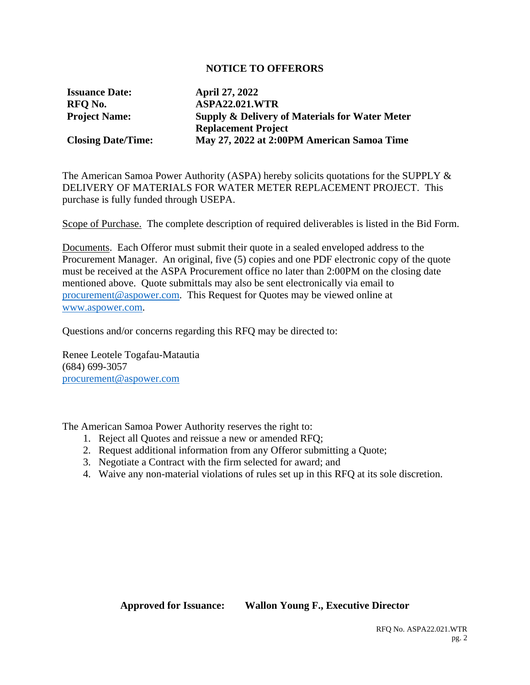#### **NOTICE TO OFFERORS**

**Issuance Date: April 27, 2022**

**RFQ No. ASPA22.021.WTR Project Name: Supply & Delivery of Materials for Water Meter Replacement Project Closing Date/Time: May 27, 2022 at 2:00PM American Samoa Time**

The American Samoa Power Authority (ASPA) hereby solicits quotations for the SUPPLY & DELIVERY OF MATERIALS FOR WATER METER REPLACEMENT PROJECT. This purchase is fully funded through USEPA.

Scope of Purchase. The complete description of required deliverables is listed in the Bid Form.

Documents. Each Offeror must submit their quote in a sealed enveloped address to the Procurement Manager. An original, five (5) copies and one PDF electronic copy of the quote must be received at the ASPA Procurement office no later than 2:00PM on the closing date mentioned above. Quote submittals may also be sent electronically via email to [procurement@aspower.com.](mailto:procurement@aspower.com) This Request for Quotes may be viewed online at [www.aspower.com.](http://www.aspower.com/)

Questions and/or concerns regarding this RFQ may be directed to:

Renee Leotele Togafau-Matautia (684) 699-3057 [procurement@aspower.com](mailto:procurement@aspower.com)

The American Samoa Power Authority reserves the right to:

- 1. Reject all Quotes and reissue a new or amended RFQ;
- 2. Request additional information from any Offeror submitting a Quote;
- 3. Negotiate a Contract with the firm selected for award; and
- 4. Waive any non-material violations of rules set up in this RFQ at its sole discretion.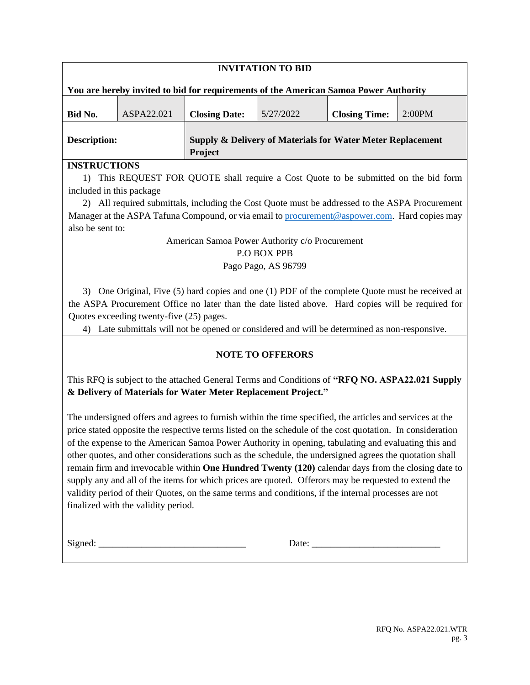| <b>INVITATION TO BID</b>                                                             |            |                                                                                  |           |                      |        |
|--------------------------------------------------------------------------------------|------------|----------------------------------------------------------------------------------|-----------|----------------------|--------|
| You are hereby invited to bid for requirements of the American Samoa Power Authority |            |                                                                                  |           |                      |        |
| Bid No.                                                                              | ASPA22.021 | <b>Closing Date:</b>                                                             | 5/27/2022 | <b>Closing Time:</b> | 2:00PM |
| <b>Description:</b>                                                                  |            | <b>Supply &amp; Delivery of Materials for Water Meter Replacement</b><br>Project |           |                      |        |

#### **INSTRUCTIONS**

1) This REQUEST FOR QUOTE shall require a Cost Quote to be submitted on the bid form included in this package

2) All required submittals, including the Cost Quote must be addressed to the ASPA Procurement Manager at the ASPA Tafuna Compound, or via email to [procurement@aspower.com.](mailto:procurement@aspower.com) Hard copies may also be sent to:

# American Samoa Power Authority c/o Procurement

#### P.O BOX PPB

### Pago Pago, AS 96799

3) One Original, Five (5) hard copies and one (1) PDF of the complete Quote must be received at the ASPA Procurement Office no later than the date listed above. Hard copies will be required for Quotes exceeding twenty-five (25) pages.

4) Late submittals will not be opened or considered and will be determined as non-responsive.

# **NOTE TO OFFERORS**

This RFQ is subject to the attached General Terms and Conditions of **"RFQ NO. ASPA22.021 Supply & Delivery of Materials for Water Meter Replacement Project."**

The undersigned offers and agrees to furnish within the time specified, the articles and services at the price stated opposite the respective terms listed on the schedule of the cost quotation. In consideration of the expense to the American Samoa Power Authority in opening, tabulating and evaluating this and other quotes, and other considerations such as the schedule, the undersigned agrees the quotation shall remain firm and irrevocable within **One Hundred Twenty (120)** calendar days from the closing date to supply any and all of the items for which prices are quoted. Offerors may be requested to extend the validity period of their Quotes, on the same terms and conditions, if the internal processes are not finalized with the validity period.

Signed: \_\_\_\_\_\_\_\_\_\_\_\_\_\_\_\_\_\_\_\_\_\_\_\_\_\_\_\_\_\_\_ Date: \_\_\_\_\_\_\_\_\_\_\_\_\_\_\_\_\_\_\_\_\_\_\_\_\_\_\_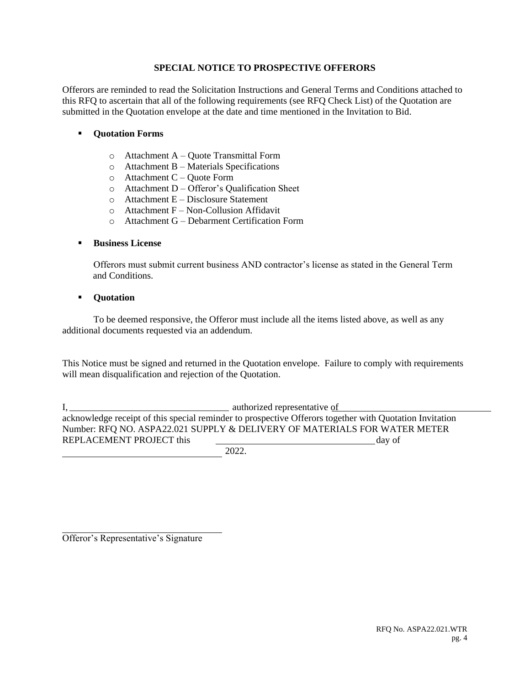#### **SPECIAL NOTICE TO PROSPECTIVE OFFERORS**

Offerors are reminded to read the Solicitation Instructions and General Terms and Conditions attached to this RFQ to ascertain that all of the following requirements (see RFQ Check List) of the Quotation are submitted in the Quotation envelope at the date and time mentioned in the Invitation to Bid.

#### **Quotation Forms**

- o Attachment A Quote Transmittal Form
- o Attachment B Materials Specifications
- $\circ$  Attachment C Quote Form
- o Attachment D Offeror's Qualification Sheet
- o Attachment E Disclosure Statement
- $\circ$  Attachment F Non-Collusion Affidavit
- o Attachment G Debarment Certification Form

#### **Business License**

Offerors must submit current business AND contractor's license as stated in the General Term and Conditions.

#### **Quotation**

To be deemed responsive, the Offeror must include all the items listed above, as well as any additional documents requested via an addendum.

This Notice must be signed and returned in the Quotation envelope. Failure to comply with requirements will mean disqualification and rejection of the Quotation.

I, authorized representative of acknowledge receipt of this special reminder to prospective Offerors together with Quotation Invitation Number: RFQ NO. ASPA22.021 SUPPLY & DELIVERY OF MATERIALS FOR WATER METER REPLACEMENT PROJECT this day of

2022.

Offeror's Representative's Signature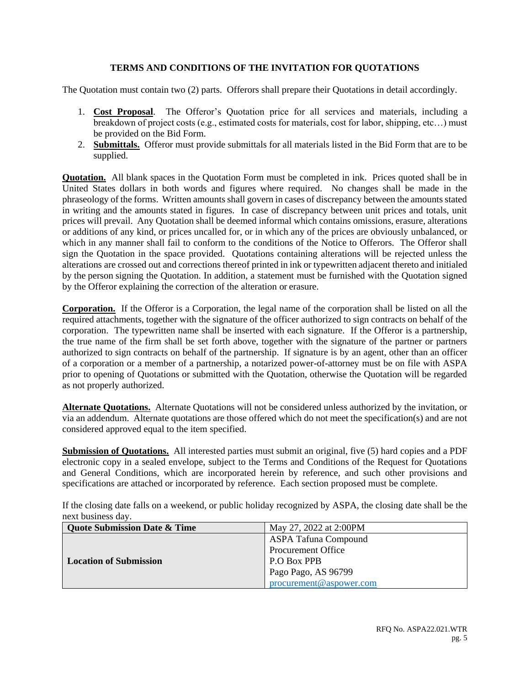#### **TERMS AND CONDITIONS OF THE INVITATION FOR QUOTATIONS**

The Quotation must contain two (2) parts. Offerors shall prepare their Quotations in detail accordingly.

- 1. **Cost Proposal**. The Offeror's Quotation price for all services and materials, including a breakdown of project costs (e.g., estimated costs for materials, cost for labor, shipping, etc…) must be provided on the Bid Form.
- 2. **Submittals.** Offeror must provide submittals for all materials listed in the Bid Form that are to be supplied.

**Quotation.** All blank spaces in the Quotation Form must be completed in ink. Prices quoted shall be in United States dollars in both words and figures where required. No changes shall be made in the phraseology of the forms. Written amounts shall govern in cases of discrepancy between the amounts stated in writing and the amounts stated in figures. In case of discrepancy between unit prices and totals, unit prices will prevail. Any Quotation shall be deemed informal which contains omissions, erasure, alterations or additions of any kind, or prices uncalled for, or in which any of the prices are obviously unbalanced, or which in any manner shall fail to conform to the conditions of the Notice to Offerors. The Offeror shall sign the Quotation in the space provided. Quotations containing alterations will be rejected unless the alterations are crossed out and corrections thereof printed in ink or typewritten adjacent thereto and initialed by the person signing the Quotation. In addition, a statement must be furnished with the Quotation signed by the Offeror explaining the correction of the alteration or erasure.

**Corporation.** If the Offeror is a Corporation, the legal name of the corporation shall be listed on all the required attachments, together with the signature of the officer authorized to sign contracts on behalf of the corporation. The typewritten name shall be inserted with each signature. If the Offeror is a partnership, the true name of the firm shall be set forth above, together with the signature of the partner or partners authorized to sign contracts on behalf of the partnership. If signature is by an agent, other than an officer of a corporation or a member of a partnership, a notarized power-of-attorney must be on file with ASPA prior to opening of Quotations or submitted with the Quotation, otherwise the Quotation will be regarded as not properly authorized.

**Alternate Quotations.** Alternate Quotations will not be considered unless authorized by the invitation, or via an addendum. Alternate quotations are those offered which do not meet the specification(s) and are not considered approved equal to the item specified.

**Submission of Quotations.** All interested parties must submit an original, five (5) hard copies and a PDF electronic copy in a sealed envelope, subject to the Terms and Conditions of the Request for Quotations and General Conditions, which are incorporated herein by reference, and such other provisions and specifications are attached or incorporated by reference. Each section proposed must be complete.

If the closing date falls on a weekend, or public holiday recognized by ASPA, the closing date shall be the next business day.

| <b>Quote Submission Date &amp; Time</b> | May 27, 2022 at 2:00PM      |  |
|-----------------------------------------|-----------------------------|--|
|                                         | <b>ASPA Tafuna Compound</b> |  |
|                                         | Procurement Office          |  |
| <b>Location of Submission</b>           | P.O Box PPB                 |  |
|                                         | Pago Pago, AS 96799         |  |
|                                         | procurement@aspower.com     |  |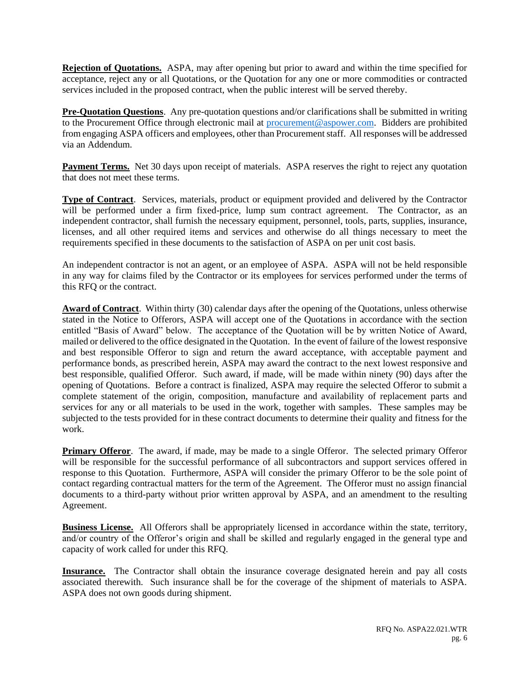**Rejection of Quotations.** ASPA, may after opening but prior to award and within the time specified for acceptance, reject any or all Quotations, or the Quotation for any one or more commodities or contracted services included in the proposed contract, when the public interest will be served thereby.

**Pre-Quotation Questions**. Any pre-quotation questions and/or clarifications shall be submitted in writing to the Procurement Office through electronic mail at [procurement@aspower.com.](mailto:procurement@aspower.com) Bidders are prohibited from engaging ASPA officers and employees, other than Procurement staff. All responses will be addressed via an Addendum.

**Payment Terms.** Net 30 days upon receipt of materials. ASPA reserves the right to reject any quotation that does not meet these terms.

**Type of Contract**. Services, materials, product or equipment provided and delivered by the Contractor will be performed under a firm fixed-price, lump sum contract agreement. The Contractor, as an independent contractor, shall furnish the necessary equipment, personnel, tools, parts, supplies, insurance, licenses, and all other required items and services and otherwise do all things necessary to meet the requirements specified in these documents to the satisfaction of ASPA on per unit cost basis.

An independent contractor is not an agent, or an employee of ASPA. ASPA will not be held responsible in any way for claims filed by the Contractor or its employees for services performed under the terms of this RFQ or the contract.

**Award of Contract**. Within thirty (30) calendar days after the opening of the Quotations, unless otherwise stated in the Notice to Offerors, ASPA will accept one of the Quotations in accordance with the section entitled "Basis of Award" below. The acceptance of the Quotation will be by written Notice of Award, mailed or delivered to the office designated in the Quotation. In the event of failure of the lowest responsive and best responsible Offeror to sign and return the award acceptance, with acceptable payment and performance bonds, as prescribed herein, ASPA may award the contract to the next lowest responsive and best responsible, qualified Offeror. Such award, if made, will be made within ninety (90) days after the opening of Quotations. Before a contract is finalized, ASPA may require the selected Offeror to submit a complete statement of the origin, composition, manufacture and availability of replacement parts and services for any or all materials to be used in the work, together with samples. These samples may be subjected to the tests provided for in these contract documents to determine their quality and fitness for the work.

**Primary Offeror.** The award, if made, may be made to a single Offeror. The selected primary Offeror will be responsible for the successful performance of all subcontractors and support services offered in response to this Quotation. Furthermore, ASPA will consider the primary Offeror to be the sole point of contact regarding contractual matters for the term of the Agreement. The Offeror must no assign financial documents to a third-party without prior written approval by ASPA, and an amendment to the resulting Agreement.

**Business License.** All Offerors shall be appropriately licensed in accordance within the state, territory, and/or country of the Offeror's origin and shall be skilled and regularly engaged in the general type and capacity of work called for under this RFQ.

**Insurance.** The Contractor shall obtain the insurance coverage designated herein and pay all costs associated therewith. Such insurance shall be for the coverage of the shipment of materials to ASPA. ASPA does not own goods during shipment.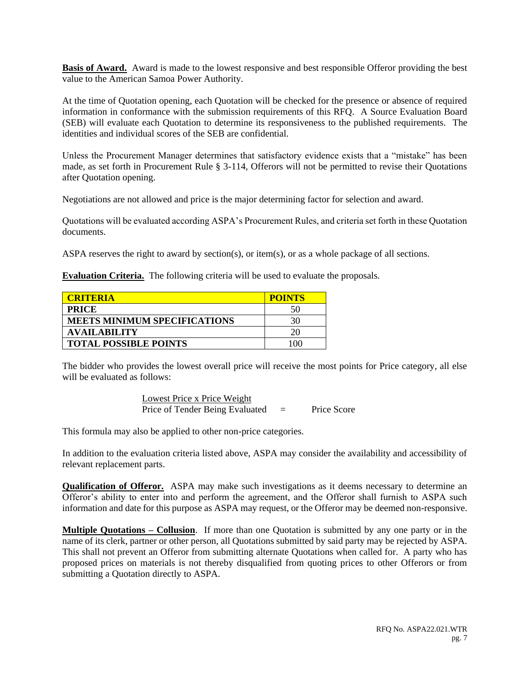**Basis of Award.** Award is made to the lowest responsive and best responsible Offeror providing the best value to the American Samoa Power Authority.

At the time of Quotation opening, each Quotation will be checked for the presence or absence of required information in conformance with the submission requirements of this RFQ. A Source Evaluation Board (SEB) will evaluate each Quotation to determine its responsiveness to the published requirements. The identities and individual scores of the SEB are confidential.

Unless the Procurement Manager determines that satisfactory evidence exists that a "mistake" has been made, as set forth in Procurement Rule § 3-114, Offerors will not be permitted to revise their Quotations after Quotation opening.

Negotiations are not allowed and price is the major determining factor for selection and award.

Quotations will be evaluated according ASPA's Procurement Rules, and criteria set forth in these Quotation documents.

ASPA reserves the right to award by section(s), or item(s), or as a whole package of all sections.

**Evaluation Criteria.** The following criteria will be used to evaluate the proposals.

| <b>CRITERIA</b>                     | <b>POINTS</b> |
|-------------------------------------|---------------|
| <b>PRICE</b>                        | 50            |
| <b>MEETS MINIMUM SPECIFICATIONS</b> | 30            |
| <b>AVAILABILITY</b>                 |               |
| <b>TOTAL POSSIBLE POINTS</b>        |               |

The bidder who provides the lowest overall price will receive the most points for Price category, all else will be evaluated as follows:

> Lowest Price x Price Weight Price of Tender Being Evaluated = Price Score

This formula may also be applied to other non-price categories.

In addition to the evaluation criteria listed above, ASPA may consider the availability and accessibility of relevant replacement parts.

**Qualification of Offeror.** ASPA may make such investigations as it deems necessary to determine an Offeror's ability to enter into and perform the agreement, and the Offeror shall furnish to ASPA such information and date for this purpose as ASPA may request, or the Offeror may be deemed non-responsive.

**Multiple Quotations – Collusion**. If more than one Quotation is submitted by any one party or in the name of its clerk, partner or other person, all Quotations submitted by said party may be rejected by ASPA. This shall not prevent an Offeror from submitting alternate Quotations when called for. A party who has proposed prices on materials is not thereby disqualified from quoting prices to other Offerors or from submitting a Quotation directly to ASPA.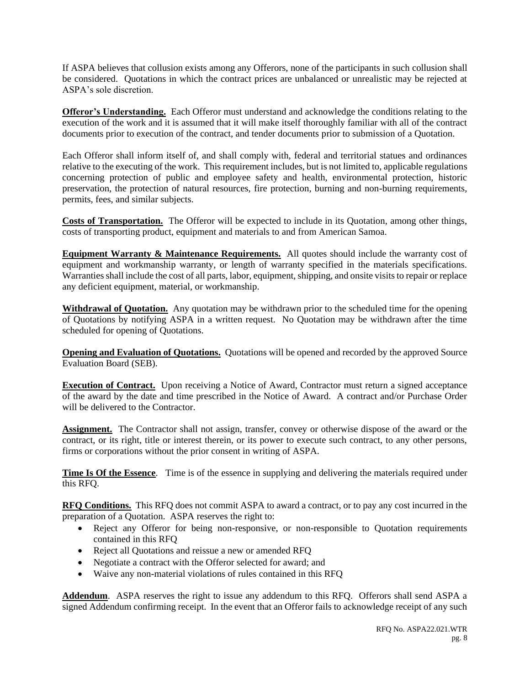If ASPA believes that collusion exists among any Offerors, none of the participants in such collusion shall be considered. Quotations in which the contract prices are unbalanced or unrealistic may be rejected at ASPA's sole discretion.

**Offeror's Understanding.** Each Offeror must understand and acknowledge the conditions relating to the execution of the work and it is assumed that it will make itself thoroughly familiar with all of the contract documents prior to execution of the contract, and tender documents prior to submission of a Quotation.

Each Offeror shall inform itself of, and shall comply with, federal and territorial statues and ordinances relative to the executing of the work. This requirement includes, but is not limited to, applicable regulations concerning protection of public and employee safety and health, environmental protection, historic preservation, the protection of natural resources, fire protection, burning and non-burning requirements, permits, fees, and similar subjects.

**Costs of Transportation.** The Offeror will be expected to include in its Quotation, among other things, costs of transporting product, equipment and materials to and from American Samoa.

**Equipment Warranty & Maintenance Requirements.** All quotes should include the warranty cost of equipment and workmanship warranty, or length of warranty specified in the materials specifications. Warranties shall include the cost of all parts, labor, equipment, shipping, and onsite visits to repair or replace any deficient equipment, material, or workmanship.

**Withdrawal of Quotation.** Any quotation may be withdrawn prior to the scheduled time for the opening of Quotations by notifying ASPA in a written request. No Quotation may be withdrawn after the time scheduled for opening of Quotations.

**Opening and Evaluation of Quotations.** Quotations will be opened and recorded by the approved Source Evaluation Board (SEB).

**Execution of Contract.** Upon receiving a Notice of Award, Contractor must return a signed acceptance of the award by the date and time prescribed in the Notice of Award. A contract and/or Purchase Order will be delivered to the Contractor.

**Assignment.** The Contractor shall not assign, transfer, convey or otherwise dispose of the award or the contract, or its right, title or interest therein, or its power to execute such contract, to any other persons, firms or corporations without the prior consent in writing of ASPA.

**Time Is Of the Essence**. Time is of the essence in supplying and delivering the materials required under this RFQ.

**RFQ Conditions.** This RFQ does not commit ASPA to award a contract, or to pay any cost incurred in the preparation of a Quotation. ASPA reserves the right to:

- Reject any Offeror for being non-responsive, or non-responsible to Quotation requirements contained in this RFQ
- Reject all Quotations and reissue a new or amended RFQ
- Negotiate a contract with the Offeror selected for award; and
- Waive any non-material violations of rules contained in this RFQ

**Addendum**. ASPA reserves the right to issue any addendum to this RFQ. Offerors shall send ASPA a signed Addendum confirming receipt. In the event that an Offeror fails to acknowledge receipt of any such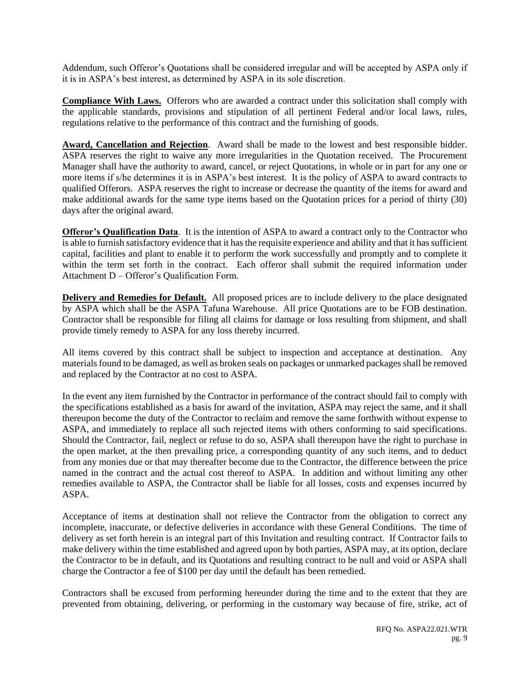Addendum, such Offeror's Quotations shall be considered irregular and will be accepted by ASPA only if it is in ASPA's best interest, as determined by ASPA in its sole discretion.

**Compliance With Laws.** Offerors who are awarded a contract under this solicitation shall comply with the applicable standards, provisions and stipulation of all pertinent Federal and/or local laws, rules, regulations relative to the performance of this contract and the furnishing of goods.

**Award, Cancellation and Rejection**. Award shall be made to the lowest and best responsible bidder. ASPA reserves the right to waive any more irregularities in the Quotation received. The Procurement Manager shall have the authority to award, cancel, or reject Quotations, in whole or in part for any one or more items if s/he determines it is in ASPA's best interest. It is the policy of ASPA to award contracts to qualified Offerors. ASPA reserves the right to increase or decrease the quantity of the items for award and make additional awards for the same type items based on the Quotation prices for a period of thirty (30) days after the original award.

**Offeror's Qualification Data**. It is the intention of ASPA to award a contract only to the Contractor who is able to furnish satisfactory evidence that it has the requisite experience and ability and that it has sufficient capital, facilities and plant to enable it to perform the work successfully and promptly and to complete it within the term set forth in the contract. Each offeror shall submit the required information under Attachment D – Offeror's Qualification Form.

**Delivery and Remedies for Default.** All proposed prices are to include delivery to the place designated by ASPA which shall be the ASPA Tafuna Warehouse. All price Quotations are to be FOB destination. Contractor shall be responsible for filing all claims for damage or loss resulting from shipment, and shall provide timely remedy to ASPA for any loss thereby incurred.

All items covered by this contract shall be subject to inspection and acceptance at destination. Any materials found to be damaged, as well as broken seals on packages or unmarked packages shall be removed and replaced by the Contractor at no cost to ASPA.

In the event any item furnished by the Contractor in performance of the contract should fail to comply with the specifications established as a basis for award of the invitation, ASPA may reject the same, and it shall thereupon become the duty of the Contractor to reclaim and remove the same forthwith without expense to ASPA, and immediately to replace all such rejected items with others conforming to said specifications. Should the Contractor, fail, neglect or refuse to do so, ASPA shall thereupon have the right to purchase in the open market, at the then prevailing price, a corresponding quantity of any such items, and to deduct from any monies due or that may thereafter become due to the Contractor, the difference between the price named in the contract and the actual cost thereof to ASPA. In addition and without limiting any other remedies available to ASPA, the Contractor shall be liable for all losses, costs and expenses incurred by ASPA.

Acceptance of items at destination shall not relieve the Contractor from the obligation to correct any incomplete, inaccurate, or defective deliveries in accordance with these General Conditions. The time of delivery as set forth herein is an integral part of this Invitation and resulting contract. If Contractor fails to make delivery within the time established and agreed upon by both parties, ASPA may, at its option, declare the Contractor to be in default, and its Quotations and resulting contract to be null and void or ASPA shall charge the Contractor a fee of \$100 per day until the default has been remedied.

Contractors shall be excused from performing hereunder during the time and to the extent that they are prevented from obtaining, delivering, or performing in the customary way because of fire, strike, act of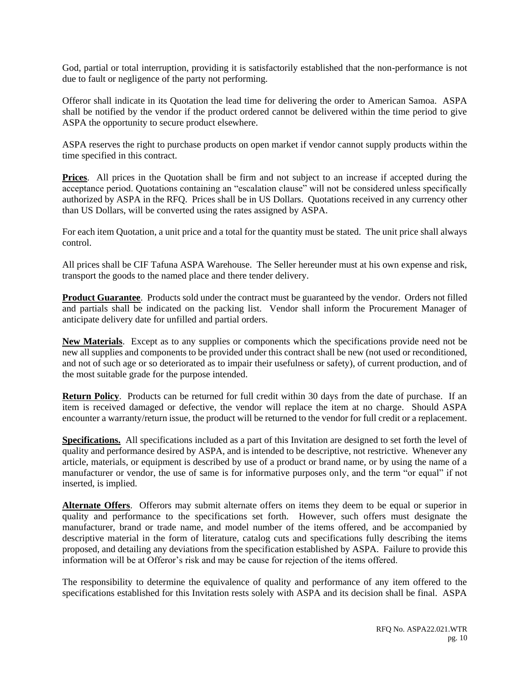God, partial or total interruption, providing it is satisfactorily established that the non-performance is not due to fault or negligence of the party not performing.

Offeror shall indicate in its Quotation the lead time for delivering the order to American Samoa. ASPA shall be notified by the vendor if the product ordered cannot be delivered within the time period to give ASPA the opportunity to secure product elsewhere.

ASPA reserves the right to purchase products on open market if vendor cannot supply products within the time specified in this contract.

**Prices**. All prices in the Quotation shall be firm and not subject to an increase if accepted during the acceptance period. Quotations containing an "escalation clause" will not be considered unless specifically authorized by ASPA in the RFQ. Prices shall be in US Dollars. Quotations received in any currency other than US Dollars, will be converted using the rates assigned by ASPA.

For each item Quotation, a unit price and a total for the quantity must be stated. The unit price shall always control.

All prices shall be CIF Tafuna ASPA Warehouse. The Seller hereunder must at his own expense and risk, transport the goods to the named place and there tender delivery.

**Product Guarantee**. Products sold under the contract must be guaranteed by the vendor. Orders not filled and partials shall be indicated on the packing list. Vendor shall inform the Procurement Manager of anticipate delivery date for unfilled and partial orders.

**New Materials**. Except as to any supplies or components which the specifications provide need not be new all supplies and components to be provided under this contract shall be new (not used or reconditioned, and not of such age or so deteriorated as to impair their usefulness or safety), of current production, and of the most suitable grade for the purpose intended.

**Return Policy**. Products can be returned for full credit within 30 days from the date of purchase. If an item is received damaged or defective, the vendor will replace the item at no charge. Should ASPA encounter a warranty/return issue, the product will be returned to the vendor for full credit or a replacement.

**Specifications.** All specifications included as a part of this Invitation are designed to set forth the level of quality and performance desired by ASPA, and is intended to be descriptive, not restrictive. Whenever any article, materials, or equipment is described by use of a product or brand name, or by using the name of a manufacturer or vendor, the use of same is for informative purposes only, and the term "or equal" if not inserted, is implied.

**Alternate Offers**. Offerors may submit alternate offers on items they deem to be equal or superior in quality and performance to the specifications set forth. However, such offers must designate the manufacturer, brand or trade name, and model number of the items offered, and be accompanied by descriptive material in the form of literature, catalog cuts and specifications fully describing the items proposed, and detailing any deviations from the specification established by ASPA. Failure to provide this information will be at Offeror's risk and may be cause for rejection of the items offered.

The responsibility to determine the equivalence of quality and performance of any item offered to the specifications established for this Invitation rests solely with ASPA and its decision shall be final. ASPA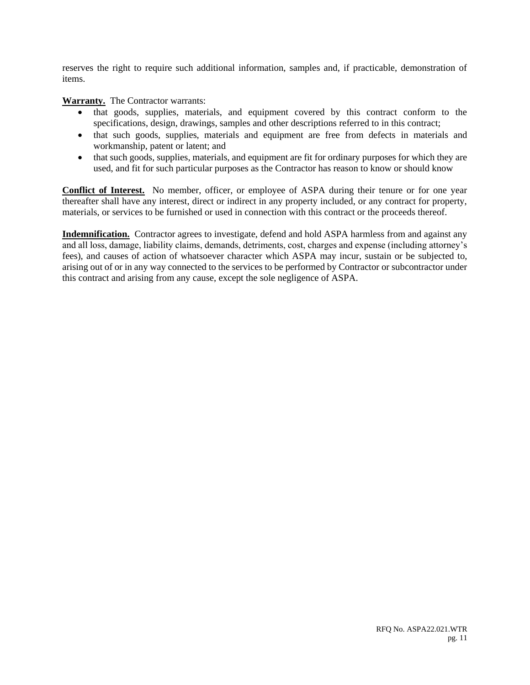reserves the right to require such additional information, samples and, if practicable, demonstration of items.

**Warranty.** The Contractor warrants:

- that goods, supplies, materials, and equipment covered by this contract conform to the specifications, design, drawings, samples and other descriptions referred to in this contract;
- that such goods, supplies, materials and equipment are free from defects in materials and workmanship, patent or latent; and
- that such goods, supplies, materials, and equipment are fit for ordinary purposes for which they are used, and fit for such particular purposes as the Contractor has reason to know or should know

**Conflict of Interest.** No member, officer, or employee of ASPA during their tenure or for one year thereafter shall have any interest, direct or indirect in any property included, or any contract for property, materials, or services to be furnished or used in connection with this contract or the proceeds thereof.

**Indemnification.** Contractor agrees to investigate, defend and hold ASPA harmless from and against any and all loss, damage, liability claims, demands, detriments, cost, charges and expense (including attorney's fees), and causes of action of whatsoever character which ASPA may incur, sustain or be subjected to, arising out of or in any way connected to the services to be performed by Contractor or subcontractor under this contract and arising from any cause, except the sole negligence of ASPA.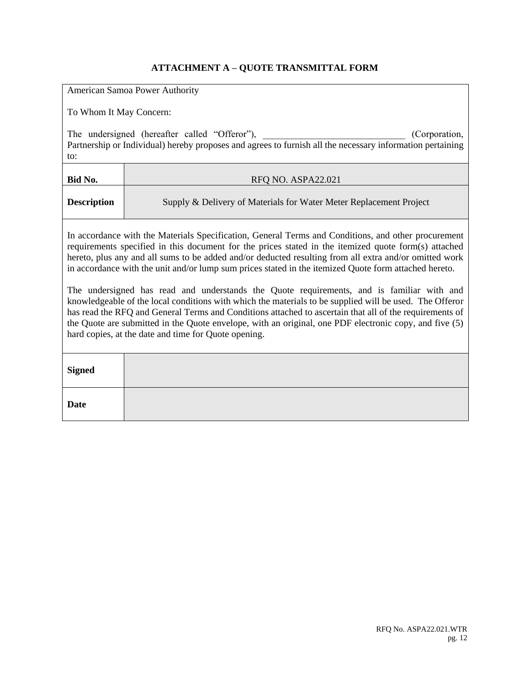# **ATTACHMENT A – QUOTE TRANSMITTAL FORM**

|                                                                                                                                                                                                                                                                                                                                                                                                                                                                                                                                                                                                                                                                                                                                                                                                                                                                                                                     | American Samoa Power Authority                                     |  |  |  |
|---------------------------------------------------------------------------------------------------------------------------------------------------------------------------------------------------------------------------------------------------------------------------------------------------------------------------------------------------------------------------------------------------------------------------------------------------------------------------------------------------------------------------------------------------------------------------------------------------------------------------------------------------------------------------------------------------------------------------------------------------------------------------------------------------------------------------------------------------------------------------------------------------------------------|--------------------------------------------------------------------|--|--|--|
|                                                                                                                                                                                                                                                                                                                                                                                                                                                                                                                                                                                                                                                                                                                                                                                                                                                                                                                     | To Whom It May Concern:                                            |  |  |  |
| The undersigned (hereafter called "Offeror"),<br>(Corporation,<br>Partnership or Individual) hereby proposes and agrees to furnish all the necessary information pertaining<br>to:                                                                                                                                                                                                                                                                                                                                                                                                                                                                                                                                                                                                                                                                                                                                  |                                                                    |  |  |  |
| Bid No.                                                                                                                                                                                                                                                                                                                                                                                                                                                                                                                                                                                                                                                                                                                                                                                                                                                                                                             | RFQ NO. ASPA22.021                                                 |  |  |  |
| <b>Description</b>                                                                                                                                                                                                                                                                                                                                                                                                                                                                                                                                                                                                                                                                                                                                                                                                                                                                                                  | Supply & Delivery of Materials for Water Meter Replacement Project |  |  |  |
| In accordance with the Materials Specification, General Terms and Conditions, and other procurement<br>requirements specified in this document for the prices stated in the itemized quote form(s) attached<br>hereto, plus any and all sums to be added and/or deducted resulting from all extra and/or omitted work<br>in accordance with the unit and/or lump sum prices stated in the itemized Quote form attached hereto.<br>The undersigned has read and understands the Quote requirements, and is familiar with and<br>knowledgeable of the local conditions with which the materials to be supplied will be used. The Offeror<br>has read the RFQ and General Terms and Conditions attached to ascertain that all of the requirements of<br>the Quote are submitted in the Quote envelope, with an original, one PDF electronic copy, and five (5)<br>hard copies, at the date and time for Quote opening. |                                                                    |  |  |  |
| <b>Signed</b>                                                                                                                                                                                                                                                                                                                                                                                                                                                                                                                                                                                                                                                                                                                                                                                                                                                                                                       |                                                                    |  |  |  |
| <b>Date</b>                                                                                                                                                                                                                                                                                                                                                                                                                                                                                                                                                                                                                                                                                                                                                                                                                                                                                                         |                                                                    |  |  |  |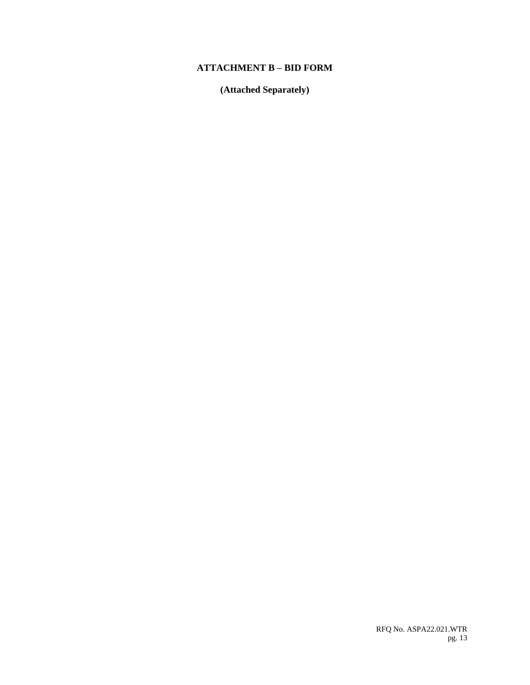### **ATTACHMENT B – BID FORM**

**(Attached Separately)**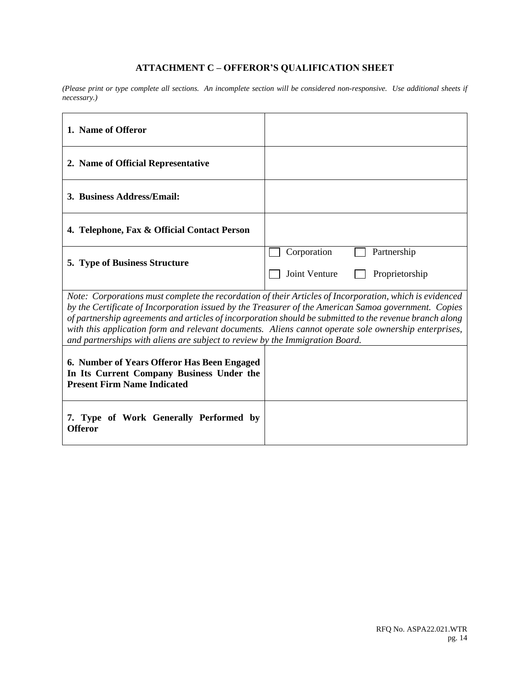# **ATTACHMENT C – OFFEROR'S QUALIFICATION SHEET**

*(Please print or type complete all sections. An incomplete section will be considered non-responsive. Use additional sheets if necessary.)*

| 1. Name of Offeror                                                                                                                                                                                                                                                                                                                                                                                                                                                                                                 |                                                               |  |  |
|--------------------------------------------------------------------------------------------------------------------------------------------------------------------------------------------------------------------------------------------------------------------------------------------------------------------------------------------------------------------------------------------------------------------------------------------------------------------------------------------------------------------|---------------------------------------------------------------|--|--|
| 2. Name of Official Representative                                                                                                                                                                                                                                                                                                                                                                                                                                                                                 |                                                               |  |  |
| 3. Business Address/Email:                                                                                                                                                                                                                                                                                                                                                                                                                                                                                         |                                                               |  |  |
| 4. Telephone, Fax & Official Contact Person                                                                                                                                                                                                                                                                                                                                                                                                                                                                        |                                                               |  |  |
| <b>5. Type of Business Structure</b>                                                                                                                                                                                                                                                                                                                                                                                                                                                                               | Corporation<br>Partnership<br>Joint Venture<br>Proprietorship |  |  |
| Note: Corporations must complete the recordation of their Articles of Incorporation, which is evidenced<br>by the Certificate of Incorporation issued by the Treasurer of the American Samoa government. Copies<br>of partnership agreements and articles of incorporation should be submitted to the revenue branch along<br>with this application form and relevant documents. Aliens cannot operate sole ownership enterprises,<br>and partnerships with aliens are subject to review by the Immigration Board. |                                                               |  |  |
| 6. Number of Years Offeror Has Been Engaged<br>In Its Current Company Business Under the<br><b>Present Firm Name Indicated</b>                                                                                                                                                                                                                                                                                                                                                                                     |                                                               |  |  |
| 7. Type of Work Generally Performed by<br><b>Offeror</b>                                                                                                                                                                                                                                                                                                                                                                                                                                                           |                                                               |  |  |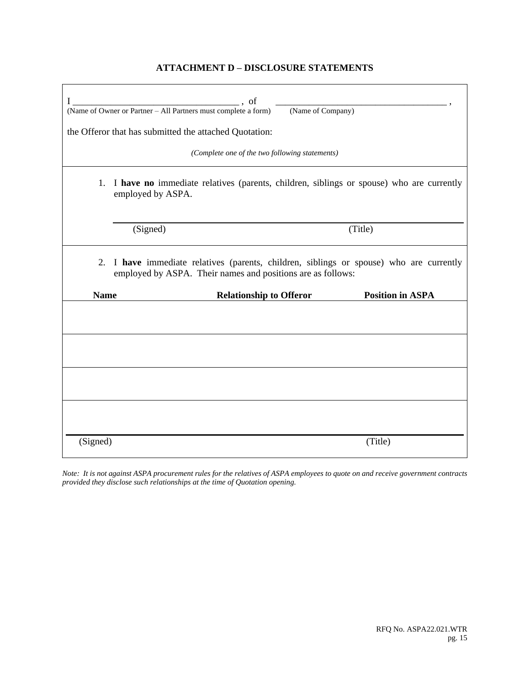### **ATTACHMENT D – DISCLOSURE STATEMENTS**

| $\cdot$ , of<br>I<br>$\overline{\phantom{a}}$<br>(Name of Owner or Partner - All Partners must complete a form)<br>(Name of Company)<br>the Offeror that has submitted the attached Quotation:<br>(Complete one of the two following statements) |                                                                                                                 |  |  |  |
|--------------------------------------------------------------------------------------------------------------------------------------------------------------------------------------------------------------------------------------------------|-----------------------------------------------------------------------------------------------------------------|--|--|--|
|                                                                                                                                                                                                                                                  |                                                                                                                 |  |  |  |
|                                                                                                                                                                                                                                                  | 1. I have no immediate relatives (parents, children, siblings or spouse) who are currently<br>employed by ASPA. |  |  |  |
|                                                                                                                                                                                                                                                  |                                                                                                                 |  |  |  |
|                                                                                                                                                                                                                                                  | (Signed)<br>(Title)                                                                                             |  |  |  |
| I have immediate relatives (parents, children, siblings or spouse) who are currently<br>2.<br>employed by ASPA. Their names and positions are as follows:<br><b>Name</b><br><b>Relationship to Offeror</b><br><b>Position in ASPA</b>            |                                                                                                                 |  |  |  |
|                                                                                                                                                                                                                                                  |                                                                                                                 |  |  |  |
|                                                                                                                                                                                                                                                  |                                                                                                                 |  |  |  |
|                                                                                                                                                                                                                                                  |                                                                                                                 |  |  |  |
|                                                                                                                                                                                                                                                  |                                                                                                                 |  |  |  |
| (Signed)                                                                                                                                                                                                                                         | (Title)                                                                                                         |  |  |  |

*Note: It is not against ASPA procurement rules for the relatives of ASPA employees to quote on and receive government contracts provided they disclose such relationships at the time of Quotation opening.*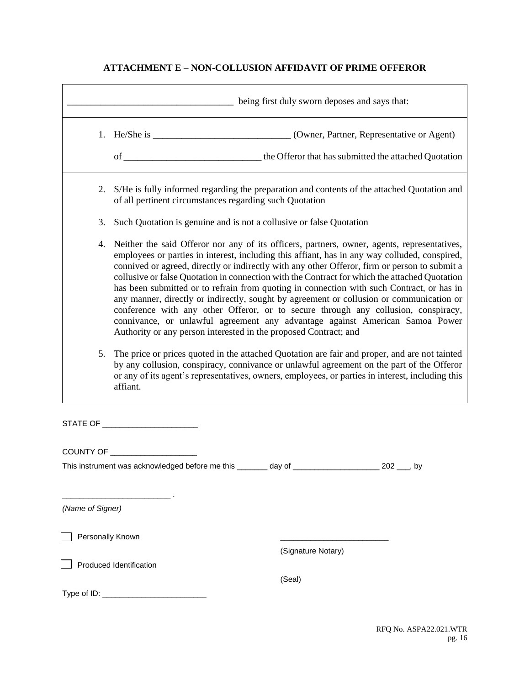# **ATTACHMENT E – NON-COLLUSION AFFIDAVIT OF PRIME OFFEROR**

|                  |                                                                                                                                                                                                                                                                                                                                                                                                                                                                                                                                                                                                                                                                                                                                                                                                                                   | being first duly sworn deposes and says that:                                                      |  |  |
|------------------|-----------------------------------------------------------------------------------------------------------------------------------------------------------------------------------------------------------------------------------------------------------------------------------------------------------------------------------------------------------------------------------------------------------------------------------------------------------------------------------------------------------------------------------------------------------------------------------------------------------------------------------------------------------------------------------------------------------------------------------------------------------------------------------------------------------------------------------|----------------------------------------------------------------------------------------------------|--|--|
|                  |                                                                                                                                                                                                                                                                                                                                                                                                                                                                                                                                                                                                                                                                                                                                                                                                                                   |                                                                                                    |  |  |
|                  |                                                                                                                                                                                                                                                                                                                                                                                                                                                                                                                                                                                                                                                                                                                                                                                                                                   |                                                                                                    |  |  |
|                  | 2. S/He is fully informed regarding the preparation and contents of the attached Quotation and<br>of all pertinent circumstances regarding such Quotation                                                                                                                                                                                                                                                                                                                                                                                                                                                                                                                                                                                                                                                                         |                                                                                                    |  |  |
| 3.               | Such Quotation is genuine and is not a collusive or false Quotation                                                                                                                                                                                                                                                                                                                                                                                                                                                                                                                                                                                                                                                                                                                                                               |                                                                                                    |  |  |
| 4.               | Neither the said Offeror nor any of its officers, partners, owner, agents, representatives,<br>employees or parties in interest, including this affiant, has in any way colluded, conspired,<br>connived or agreed, directly or indirectly with any other Offeror, firm or person to submit a<br>collusive or false Quotation in connection with the Contract for which the attached Quotation<br>has been submitted or to refrain from quoting in connection with such Contract, or has in<br>any manner, directly or indirectly, sought by agreement or collusion or communication or<br>conference with any other Offeror, or to secure through any collusion, conspiracy,<br>connivance, or unlawful agreement any advantage against American Samoa Power<br>Authority or any person interested in the proposed Contract; and |                                                                                                    |  |  |
| 5.               | The price or prices quoted in the attached Quotation are fair and proper, and are not tainted<br>by any collusion, conspiracy, connivance or unlawful agreement on the part of the Offeror<br>or any of its agent's representatives, owners, employees, or parties in interest, including this<br>affiant.                                                                                                                                                                                                                                                                                                                                                                                                                                                                                                                        |                                                                                                    |  |  |
|                  |                                                                                                                                                                                                                                                                                                                                                                                                                                                                                                                                                                                                                                                                                                                                                                                                                                   |                                                                                                    |  |  |
|                  | COUNTY OF _____________________                                                                                                                                                                                                                                                                                                                                                                                                                                                                                                                                                                                                                                                                                                                                                                                                   |                                                                                                    |  |  |
|                  |                                                                                                                                                                                                                                                                                                                                                                                                                                                                                                                                                                                                                                                                                                                                                                                                                                   | This instrument was acknowledged before me this _______ day of _______________________ 202 ___, by |  |  |
| (Name of Signer) |                                                                                                                                                                                                                                                                                                                                                                                                                                                                                                                                                                                                                                                                                                                                                                                                                                   |                                                                                                    |  |  |
| Personally Known |                                                                                                                                                                                                                                                                                                                                                                                                                                                                                                                                                                                                                                                                                                                                                                                                                                   | (Signature Notary)                                                                                 |  |  |
|                  | Produced Identification                                                                                                                                                                                                                                                                                                                                                                                                                                                                                                                                                                                                                                                                                                                                                                                                           |                                                                                                    |  |  |
|                  |                                                                                                                                                                                                                                                                                                                                                                                                                                                                                                                                                                                                                                                                                                                                                                                                                                   | (Seal)                                                                                             |  |  |